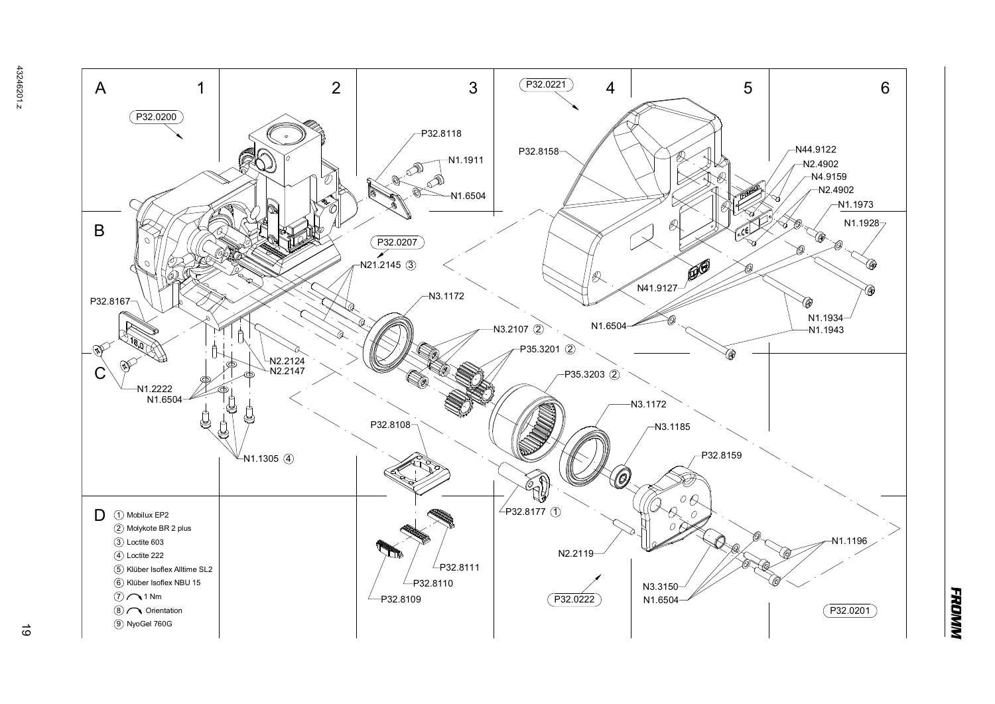

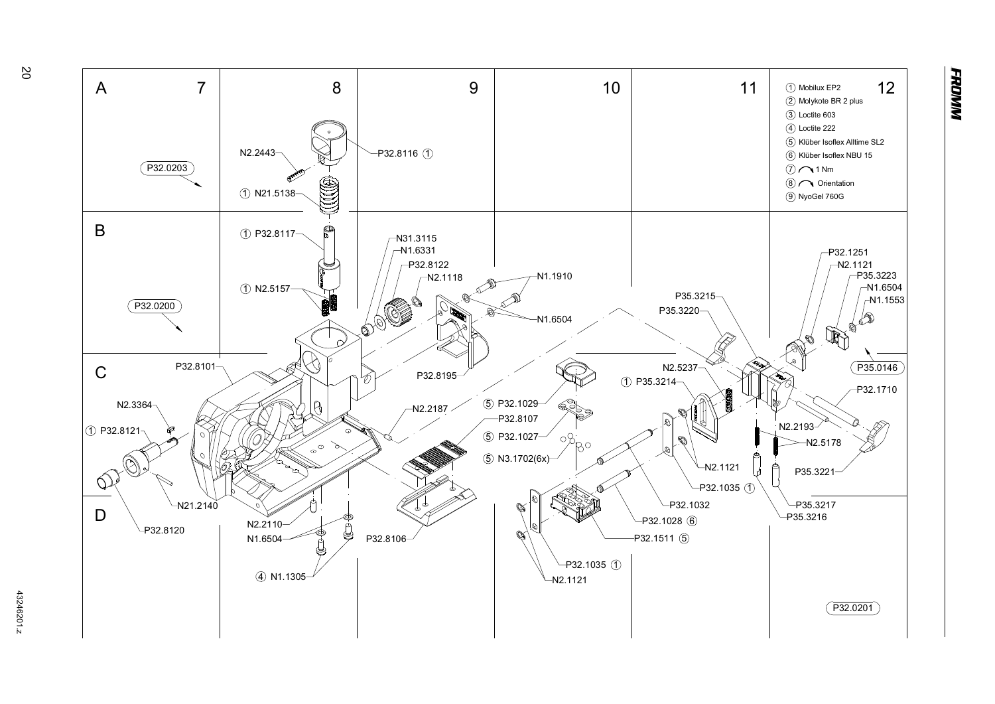

**FRONNY**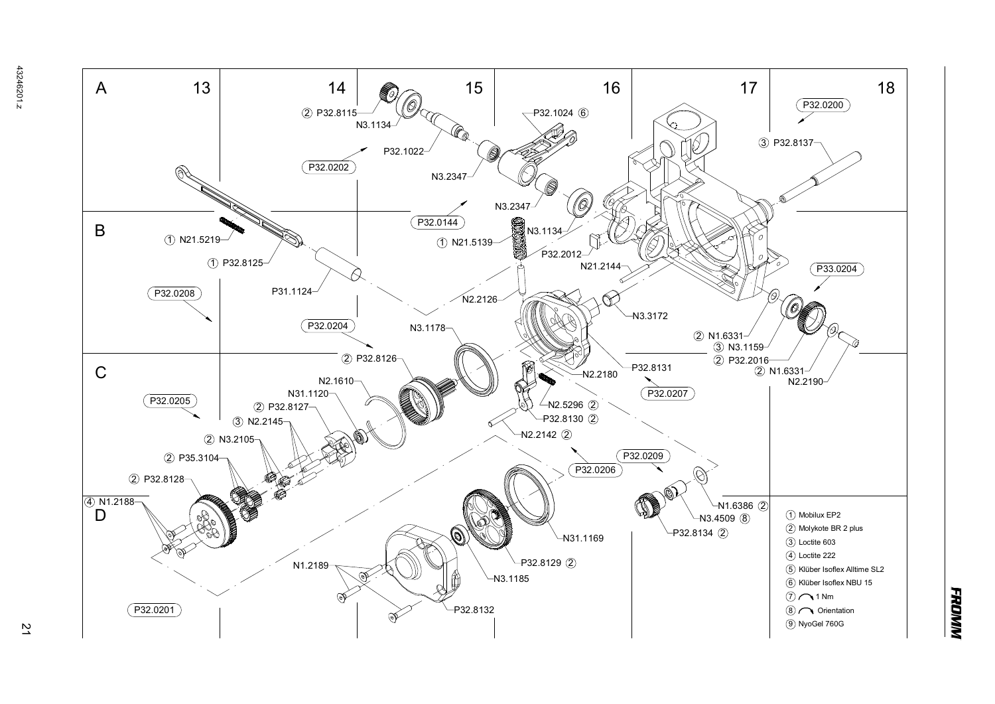